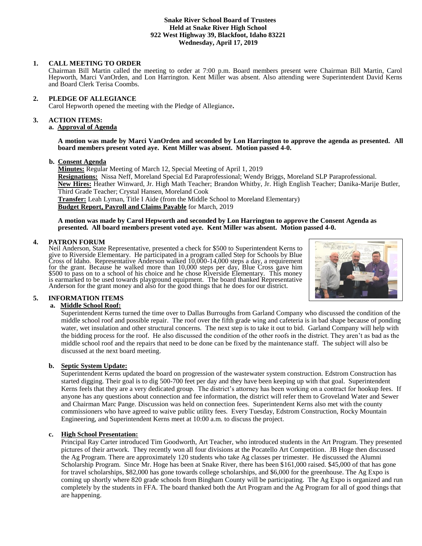#### **Snake River School Board of Trustees Held at Snake River High School 922 West Highway 39, Blackfoot, Idaho 83221 Wednesday, April 17, 2019**

### **1. CALL MEETING TO ORDER**

Chairman Bill Martin called the meeting to order at 7:00 p.m. Board members present were Chairman Bill Martin, Carol Hepworth, Marci VanOrden, and Lon Harrington. Kent Miller was absent. Also attending were Superintendent David Kerns and Board Clerk Terisa Coombs.

### **2. PLEDGE OF ALLEGIANCE**

Carol Hepworth opened the meeting with the Pledge of Allegiance**.** 

#### **3. ACTION ITEMS:**

### **a. Approval of Agenda**

**A motion was made by Marci VanOrden and seconded by Lon Harrington to approve the agenda as presented. All board members present voted aye. Kent Miller was absent. Motion passed 4-0.**

#### **b. Consent Agenda**

**Minutes:** Regular Meeting of March 12, Special Meeting of April 1, 2019 **Resignations:** Nissa Neff, Moreland Special Ed Paraprofessional; Wendy Briggs, Moreland SLP Paraprofessional. **New Hires:** Heather Winward, Jr. High Math Teacher; Brandon Whitby, Jr. High English Teacher; Danika-Marije Butler, Third Grade Teacher; Crystal Hansen, Moreland Cook **Transfer:** Leah Lyman, Title I Aide (from the Middle School to Moreland Elementary) **Budget Report, Payroll and Claims Payable** for March, 2019

#### **A motion was made by Carol Hepworth and seconded by Lon Harrington to approve the Consent Agenda as presented. All board members present voted aye. Kent Miller was absent. Motion passed 4-0.**

## **4. PATRON FORUM**

Neil Anderson, State Representative, presented a check for \$500 to Superintendent Kerns to give to Riverside Elementary. He participated in a program called Step for Schools by Blue Cross of Idaho. Representative Anderson walked 10,000-14,000 steps a day, a requirement for the grant. Because he walked more than 10,000 steps per day, Blue Cross gave him \$500 to pass on to a school of his choice and he chose Riverside Elementary. This money is earmarked to be used towards playground equipment. The board thanked Representative Anderson for the grant money and also for the good things that he does for our district.



# **5. INFORMATION ITEMS**

## **a. Middle School Roof:**

Superintendent Kerns turned the time over to Dallas Burroughs from Garland Company who discussed the condition of the middle school roof and possible repair. The roof over the fifth grade wing and cafeteria is in bad shape because of ponding water, wet insulation and other structural concerns. The next step is to take it out to bid. Garland Company will help with the bidding process for the roof. He also discussed the condition of the other roofs in the district. They aren't as bad as the middle school roof and the repairs that need to be done can be fixed by the maintenance staff. The subject will also be discussed at the next board meeting.

## **b. Septic System Update:**

Superintendent Kerns updated the board on progression of the wastewater system construction. Edstrom Construction has started digging. Their goal is to dig 500-700 feet per day and they have been keeping up with that goal. Superintendent Kerns feels that they are a very dedicated group. The district's attorney has been working on a contract for hookup fees. If anyone has any questions about connection and fee information, the district will refer them to Groveland Water and Sewer and Chairman Marc Pange. Discussion was held on connection fees. Superintendent Kerns also met with the county commissioners who have agreed to waive public utility fees. Every Tuesday, Edstrom Construction, Rocky Mountain Engineering, and Superintendent Kerns meet at 10:00 a.m. to discuss the project.

## **c. High School Presentation:**

Principal Ray Carter introduced Tim Goodworth, Art Teacher, who introduced students in the Art Program. They presented pictures of their artwork. They recently won all four divisions at the Pocatello Art Competition. JB Hoge then discussed the Ag Program. There are approximately 120 students who take Ag classes per trimester. He discussed the Alumni Scholarship Program. Since Mr. Hoge has been at Snake River, there has been \$161,000 raised. \$45,000 of that has gone for travel scholarships, \$82,000 has gone towards college scholarships, and \$6,000 for the greenhouse. The Ag Expo is coming up shortly where 820 grade schools from Bingham County will be participating. The Ag Expo is organized and run completely by the students in FFA. The board thanked both the Art Program and the Ag Program for all of good things that are happening.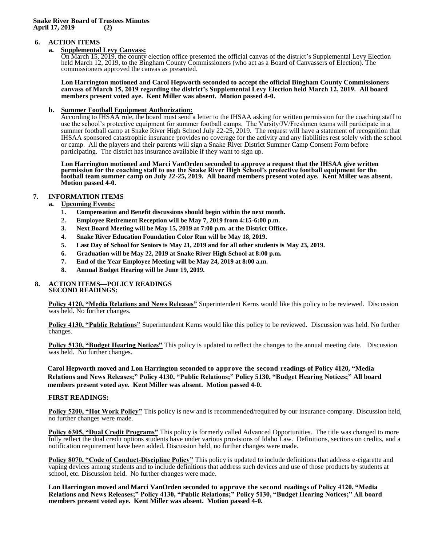#### **6. ACTION ITEMS**

#### **a. Supplemental Levy Canvass:**

On March 15, 2019, the county election office presented the official canvas of the district's Supplemental Levy Election held March 12, 2019, to the Bingham County Commissioners (who act as a Board of Canvassers of Election). The commissioners approved the canvas as presented.

**Lon Harrington motioned and Carol Hepworth seconded to accept the official Bingham County Commissioners canvass of March 15, 2019 regarding the district's Supplemental Levy Election held March 12, 2019. All board members present voted aye. Kent Miller was absent. Motion passed 4-0.** 

#### **b. Summer Football Equipment Authorization:**

According to IHSAA rule, the board must send a letter to the IHSAA asking for written permission for the coaching staff to use the school's protective equipment for summer football camps. The Varsity/JV/Freshmen teams will participate in a summer football camp at Snake River High School July 22-25, 2019. The request will have a statement of recognition that IHSAA sponsored catastrophic insurance provides no coverage for the activity and any liabilities rest solely with the school or camp. All the players and their parents will sign a Snake River District Summer Camp Consent Form before participating. The district has insurance available if they want to sign up.

**Lon Harrington motioned and Marci VanOrden seconded to approve a request that the IHSAA give written permission for the coaching staff to use the Snake River High School's protective football equipment for the football team summer camp on July 22-25, 2019. All board members present voted aye. Kent Miller was absent. Motion passed 4-0.** 

### **7. INFORMATION ITEMS**

# **a. Upcoming Events:**

- **1. Compensation and Benefit discussions should begin within the next month.**
- **2. Employee Retirement Reception will be May 7, 2019 from 4:15-6:00 p.m.**
- **3. Next Board Meeting will be May 15, 2019 at 7:00 p.m. at the District Office.**
- **4. Snake River Education Foundation Color Run will be May 18, 2019.**
- **5. Last Day of School for Seniors is May 21, 2019 and for all other students is May 23, 2019.**
- **6. Graduation will be May 22, 2019 at Snake River High School at 8:00 p.m.**
- **7. End of the Year Employee Meeting will be May 24, 2019 at 8:00 a.m.**
- **8. Annual Budget Hearing will be June 19, 2019.**

#### **8. ACTION ITEMS—POLICY READINGS SECOND READINGS:**

**Policy 4120, "Media Relations and News Releases"** Superintendent Kerns would like this policy to be reviewed. Discussion was held. No further changes.

**Policy 4130, "Public Relations"** Superintendent Kerns would like this policy to be reviewed. Discussion was held. No further changes.

**Policy 5130, "Budget Hearing Notices"** This policy is updated to reflect the changes to the annual meeting date. Discussion was held. No further changes.

**Carol Hepworth moved and Lon Harrington seconded to approve the second readings of Policy 4120, "Media Relations and News Releases;" Policy 4130, "Public Relations;" Policy 5130, "Budget Hearing Notices;" All board members present voted aye. Kent Miller was absent. Motion passed 4-0.**

#### **FIRST READINGS:**

**Policy 5200, "Hot Work Policy"** This policy is new and is recommended/required by our insurance company. Discussion held, no further changes were made.

**Policy 6305, "Dual Credit Programs"** This policy is formerly called Advanced Opportunities. The title was changed to more fully reflect the dual credit options students have under various provisions of Idaho Law. Definitions, sections on credits, and a notification requirement have been added. Discussion held, no further changes were made.

**Policy 8070, "Code of Conduct-Discipline Policy"** This policy is updated to include definitions that address e-cigarette and vaping devices among students and to include definitions that address such devices and use of those products by students at school, etc. Discussion held. No further changes were made.

**Lon Harrington moved and Marci VanOrden seconded to approve the second readings of Policy 4120, "Media Relations and News Releases;" Policy 4130, "Public Relations;" Policy 5130, "Budget Hearing Notices;" All board members present voted aye. Kent Miller was absent. Motion passed 4-0.**